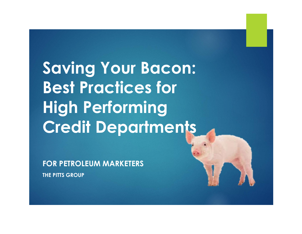Saving Your Bacon: Best Practices for High Performing Credit Departments **Best Practices for<br>High Performing<br>Credit Department<br>FOR PETROLEUM MARKETERS**<br>THE PITTS GROUP

FOR PETROLEUM MARKETERS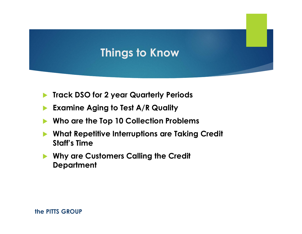### Things to Know

- **Track DSO for 2 year Quarterly Periods**
- Examine Aging to Test A/R Quality
- Who are the Top 10 Collection Problems
- What Repetitive Interruptions are Taking Credit Staff's Time
- **No. 2018 Why are Customers Calling the Credit Department**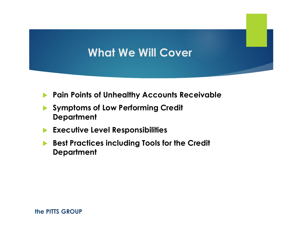### What We Will Cover

- **Pain Points of Unhealthy Accounts Receivable**
- Symptoms of Low Performing Credit **Department**
- **Executive Level Responsibilities**
- Best Practices including Tools for the Credit **Department**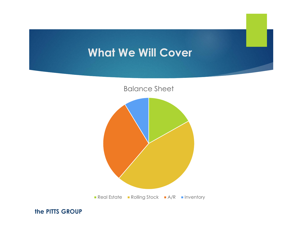### What We Will Cover

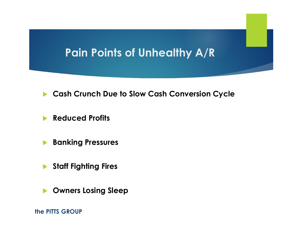### Pain Points of Unhealthy A/R

- **Cash Crunch Due to Slow Cash Conversion Cycle**
- **Reduced Profits**
- **Banking Pressures**
- Staff Fighting Fires
- **D** Owners Losing Sleep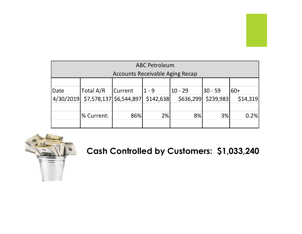| <b>ABC Petroleum</b><br><b>Accounts Receivable Aging Recap</b><br>Total A/R<br>$ 60+$<br>Current<br>$ 1 - 9 $<br>$10 - 29$<br>30 - 59<br>Date<br>4/30/2019<br>$$7,578,137$ \$6,544,897<br>\$142,638<br>\$636,299<br>\$14,319<br>\$239,983<br>2%<br>0.2%<br>% Current:<br>86%<br>8%<br>3% |  |  |  |  |  |  |  |
|------------------------------------------------------------------------------------------------------------------------------------------------------------------------------------------------------------------------------------------------------------------------------------------|--|--|--|--|--|--|--|
|                                                                                                                                                                                                                                                                                          |  |  |  |  |  |  |  |
|                                                                                                                                                                                                                                                                                          |  |  |  |  |  |  |  |
|                                                                                                                                                                                                                                                                                          |  |  |  |  |  |  |  |
|                                                                                                                                                                                                                                                                                          |  |  |  |  |  |  |  |
|                                                                                                                                                                                                                                                                                          |  |  |  |  |  |  |  |
|                                                                                                                                                                                                                                                                                          |  |  |  |  |  |  |  |
|                                                                                                                                                                                                                                                                                          |  |  |  |  |  |  |  |
|                                                                                                                                                                                                                                                                                          |  |  |  |  |  |  |  |
|                                                                                                                                                                                                                                                                                          |  |  |  |  |  |  |  |
|                                                                                                                                                                                                                                                                                          |  |  |  |  |  |  |  |
|                                                                                                                                                                                                                                                                                          |  |  |  |  |  |  |  |
|                                                                                                                                                                                                                                                                                          |  |  |  |  |  |  |  |
|                                                                                                                                                                                                                                                                                          |  |  |  |  |  |  |  |



Cash Controlled by Customers: \$1,033,240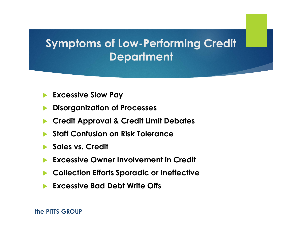### Symptoms of Low-Performing Credit **Department**

- Excessive Slow Pay
- Disorganization of Processes
- Credit Approval & Credit Limit Debates
- Staff Confusion on Risk Tolerance
- Sales vs. Credit
- Excessive Owner Involvement in Credit
- Collection Efforts Sporadic or Ineffective
- Excessive Bad Debt Write Offs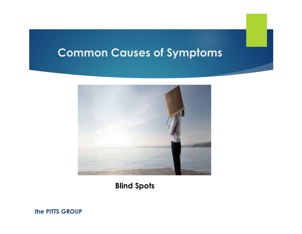

Blind Spots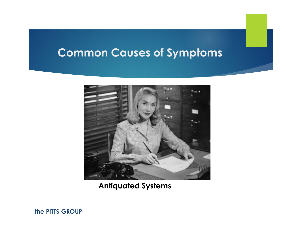

Antiquated Systems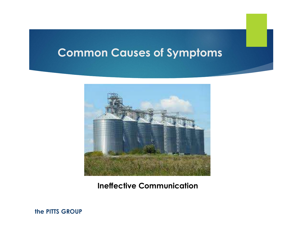

Ineffective Communication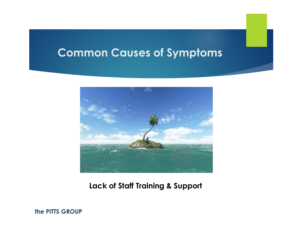

Lack of Staff Training & Support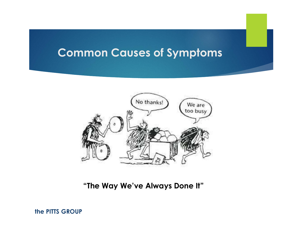

"The Way We've Always Done It"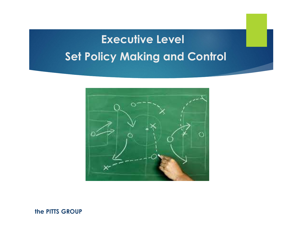# Executive Level Set Policy Making and Control

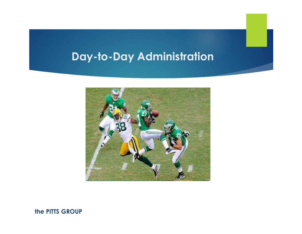### Day-to-Day Administration

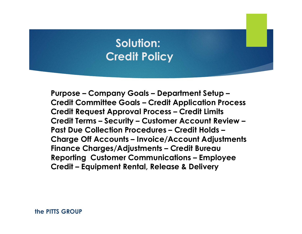### Solution: Credit Policy

Solution:<br>Credit Policy<br>Purpose – Company Goals – Department Setup –<br>Credit Committee Goals – Credit Application Process<br>Credit Request Approval Process – Credit Limits Solution:<br>Credit Policy<br>Purpose – Company Goals – Department Setup –<br>Credit Committee Goals – Credit Application Process<br>Credit Request Approval Process – Credit Limits<br>Credit Terms – Security – Customer Account Review – Solution:<br>Credit Policy<br>Purpose – Company Goals – Department Setup –<br>Credit Committee Goals – Credit Application Process<br>Credit Request Approval Process – Credit Limits<br>Credit Terms – Security – Customer Account Review –<br>P Solution:<br>Credit Policy<br>Purpose – Company Goals – Department Setup –<br>Credit Committee Goals – Credit Application Process<br>Credit Request Approval Process – Credit Limits<br>Credit Terms – Security – Customer Account Review –<br>P Solution:<br>
Credit Policy<br>
Purpose – Company Goals – Department Setup –<br>
Credit Committee Goals – Credit Application Process<br>
Credit Request Approval Process – Credit Limits<br>
Credit Terms – Security – Customer Account Revie Solution:<br>
Credit Policy<br>
Purpose – Company Goals – Department Setup –<br>
Credit Committee Goals – Credit Application Process<br>
Credit Request Approval Process – Credit Limits<br>
Credit Terms – Security – Customer Account Revie Credit Policy<br>Purpose – Company Goals – Department Setup –<br>Credit Committee Goals – Credit Application Process<br>Credit Request Approval Process – Credit Limits<br>Credit Terms – Security – Customer Account Review –<br>Past Due Co Purpose — Company Goals — Department Setup —<br>Credit Committee Goals — Credit Application Process<br>Credit Request Approval Process — Credit Limits<br>Credit Terms — Security — Customer Account Review —<br>Past Due Collection Proce Purpose – Company Goals – Department Setu<br>Credit Committee Goals – Credit Application |<br>Credit Request Approval Process – Credit Limi<br>Credit Terms – Security – Customer Account Re<br>Past Due Collection Procedures – Credit Ho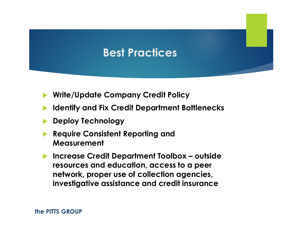### Best Practices

- Write/Update Company Credit Policy
- Identify and Fix Credit Department Bottlenecks
- Deploy Technology
- Require Consistent Reporting and Measurement
- ■<br>
Increase Credit Policy<br>
Increase Credit Department Bottlenecks<br>
■<br>
Increase Credit Department Toolbox outside<br>
Increase Credit Department Toolbox outside<br>
Increase Credit Department Toolbox outside<br>
Increase Cred resources and education, access to a peer network, proper use of collection agencies, investigative assistance and credit insurance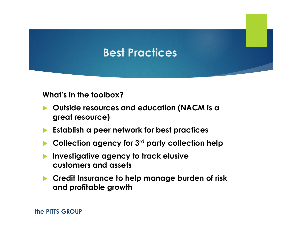### Best Practices

What's in the toolbox?

- ▶ Outside resources and education (NACM is a great resource)
- $\blacktriangleright$  Establish a peer network for best practices
- Collection agency for 3rd party collection help
- Investigative agency to track elusive customers and assets
- **Credit Insurance to help manage burden of risk** and profitable growth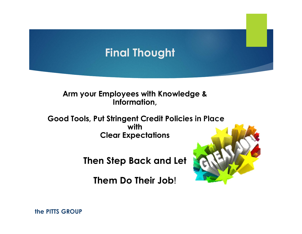## Final Thought

#### Arm your Employees with Knowledge & Information,

Good Tools, Put Stringent Credit Policies in Place with Clear Expectations

Then Step Back and Let

Them Do Their Job!